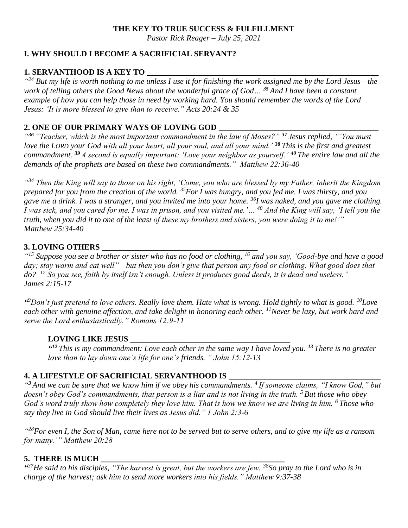#### **THE KEY TO TRUE SUCCESS & FULFILLMENT**

*Pastor Rick Reager – July 25, 2021*

# **I. WHY SHOULD I BECOME A SACRIFICIAL SERVANT?**

## **1. SERVANTHOOD IS A KEY TO**

<sup>424</sup> But my life is worth nothing to me unless I use it for finishing the work assigned me by the Lord Jesus—the *work of telling others the Good News about the wonderful grace of God… <sup>35</sup> And I have been a constant example of how you can help those in need by working hard. You should remember the words of the Lord Jesus: 'It is more blessed to give than to receive." Acts 20:24 & 35*

## **2. ONE OF OUR PRIMARY WAYS OF LOVING GOD \_\_\_\_\_\_\_\_\_\_\_\_\_\_\_\_\_\_\_\_\_\_\_\_\_\_\_\_\_\_\_\_\_\_\_\_\_\_\_\_**

*" <sup>36</sup> "Teacher, which is the most important commandment in the law of Moses?" <sup>37</sup> Jesus replied, "'You must love the LORD your God with all your heart, all your soul, and all your mind.' <sup>38</sup> This is the first and greatest commandment. <sup>39</sup> A second is equally important: 'Love your neighbor as yourself.' <sup>40</sup> The entire law and all the demands of the prophets are based on these two commandments." Matthew 22:36-40*

*" <sup>34</sup> Then the King will say to those on his right, 'Come, you who are blessed by my Father, inherit the Kingdom prepared for you from the creation of the world. <sup>35</sup>For I was hungry, and you fed me. I was thirsty, and you gave me a drink. I was a stranger, and you invited me into your home. <sup>36</sup>I was naked, and you gave me clothing. I was sick, and you cared for me. I was in prison, and you visited me.'… <sup>40</sup> And the King will say, 'I tell you the truth, when you did it to one of the least of these my brothers and sisters, you were doing it to me!'" Matthew 25:34-40*

# **3. LOVING OTHERS \_\_\_\_\_\_\_\_\_\_\_\_\_\_\_\_\_\_\_\_\_\_\_\_\_\_\_\_\_\_\_\_\_\_\_\_\_\_\_**

*" <sup>15</sup> Suppose you see a brother or sister who has no food or clothing, <sup>16</sup> and you say, 'Good-bye and have a good day; stay warm and eat well"—but then you don't give that person any food or clothing. What good does that do? <sup>17</sup> So you see, faith by itself isn't enough. Unless it produces good deeds, it is dead and useless." James 2:15-17*

*" <sup>9</sup>Don't just pretend to love others. Really love them. Hate what is wrong. Hold tightly to what is good. <sup>10</sup>Love each other with genuine affection, and take delight in honoring each other. <sup>11</sup>Never be lazy, but work hard and serve the Lord enthusiastically." Romans 12:9-11*

## **LOVING LIKE JESUS \_\_\_\_\_\_\_\_\_\_\_\_\_\_\_\_\_\_\_\_\_\_\_\_\_\_\_\_\_\_\_\_\_\_\_\_\_\_\_\_**

*" <sup>12</sup> This is my commandment: Love each other in the same way I have loved you. <sup>13</sup> There is no greater love than to lay down one's life for one's friends. " John 15:12-13*

## **4. A LIFESTYLE OF SACRIFICIAL SERVANTHOOD IS**

*" <sup>3</sup> And we can be sure that we know him if we obey his commandments. <sup>4</sup> If someone claims, "I know God," but doesn't obey God's commandments, that person is a liar and is not living in the truth. <sup>5</sup> But those who obey God's word truly show how completely they love him. That is how we know we are living in him. <sup>6</sup> Those who say they live in God should live their lives as Jesus did." 1 John 2:3-6*

*" <sup>28</sup>For even I, the Son of Man, came here not to be served but to serve others, and to give my life as a ransom for many.'" Matthew 20:28*

## **5. THERE IS MUCH \_\_\_\_\_\_\_\_\_\_\_\_\_\_\_\_\_\_\_\_\_\_\_\_\_\_\_\_\_\_\_\_\_\_\_\_\_\_\_\_\_\_\_\_\_\_**

*" <sup>37</sup>He said to his disciples, "The harvest is great, but the workers are few. <sup>38</sup>So pray to the Lord who is in charge of the harvest; ask him to send more workers into his fields." Matthew 9:37-38*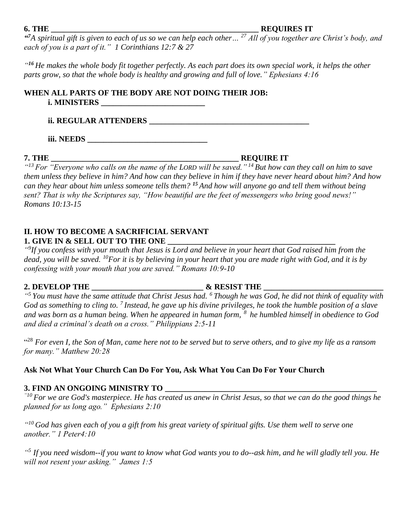**6. THE \_\_\_\_\_\_\_\_\_\_\_\_\_\_\_\_\_\_\_\_\_\_\_\_\_\_\_\_\_\_\_\_\_\_\_\_\_\_\_\_\_\_\_\_\_\_\_\_\_\_\_\_ REQUIRES IT**

*" <sup>7</sup>A spiritual gift is given to each of us so we can help each other… <sup>27</sup> All of you together are Christ's body, and each of you is a part of it." 1 Corinthians 12:7 & 27*

*" <sup>16</sup> He makes the whole body fit together perfectly. As each part does its own special work, it helps the other parts grow, so that the whole body is healthy and growing and full of love." Ephesians 4:16*

### **WHEN ALL PARTS OF THE BODY ARE NOT DOING THEIR JOB: i. MINISTERS**

**ii. REGULAR ATTENDERS \_\_\_\_\_\_\_\_\_\_\_\_\_\_\_\_\_\_\_\_\_\_\_\_\_\_\_\_\_\_\_\_\_\_\_\_\_\_\_\_**

**iii. NEEDS \_\_\_\_\_\_\_\_\_\_\_\_\_\_\_\_\_\_\_\_\_\_\_\_\_\_\_\_\_\_**

**7. THE \_\_\_\_\_\_\_\_\_\_\_\_\_\_\_\_\_\_\_\_\_\_\_\_\_\_\_\_\_\_\_\_\_\_\_\_\_\_\_\_\_\_\_\_\_\_\_ REQUIRE IT**

*" <sup>13</sup> For "Everyone who calls on the name of the LORD will be saved." <sup>14</sup> But how can they call on him to save them unless they believe in him? And how can they believe in him if they have never heard about him? And how can they hear about him unless someone tells them? <sup>15</sup> And how will anyone go and tell them without being sent? That is why the Scriptures say, "How beautiful are the feet of messengers who bring good news!" Romans 10:13-15*

#### **II. HOW TO BECOME A SACRIFICIAL SERVANT 1. GIVE IN & SELL OUT TO THE ONE \_\_\_\_\_\_\_\_\_\_\_\_\_\_\_\_\_\_\_\_\_\_\_\_\_\_\_\_\_\_\_\_\_\_\_\_\_\_\_\_\_\_**

*" 9 If you confess with your mouth that Jesus is Lord and believe in your heart that God raised him from the dead, you will be saved. <sup>10</sup>For it is by believing in your heart that you are made right with God, and it is by confessing with your mouth that you are saved." Romans 10:9-10*

## 2. DEVELOP THE  $\&$  RESIST THE

*" <sup>5</sup> You must have the same attitude that Christ Jesus had. <sup>6</sup> Though he was God, he did not think of equality with God as something to cling to. <sup>7</sup> Instead, he gave up his divine privileges, he took the humble position of a slave and was born as a human being. When he appeared in human form,<sup>8</sup> he humbled himself in obedience to God and died a criminal's death on a cross." Philippians 2:5-11*

<sup>428</sup> For even I, the Son of Man, came here not to be served but to serve others, and to give my life as a ransom *for many." Matthew 20:28*

**Ask Not What Your Church Can Do For You, Ask What You Can Do For Your Church**

## **3. FIND AN ONGOING MINISTRY TO \_\_\_\_\_\_\_\_\_\_\_\_\_\_\_\_\_\_\_\_\_\_\_\_\_\_\_\_\_\_\_\_\_\_\_\_\_\_\_\_\_\_\_\_\_\_\_\_\_\_\_\_\_**

*"10 For we are God's masterpiece. He has created us anew in Christ Jesus, so that we can do the good things he planned for us long ago." Ephesians 2:10*

*" <sup>10</sup> God has given each of you a gift from his great variety of spiritual gifts. Use them well to serve one another." 1 Peter4:10*

*" 5 If you need wisdom--if you want to know what God wants you to do--ask him, and he will gladly tell you. He will not resent your asking." James 1:5*